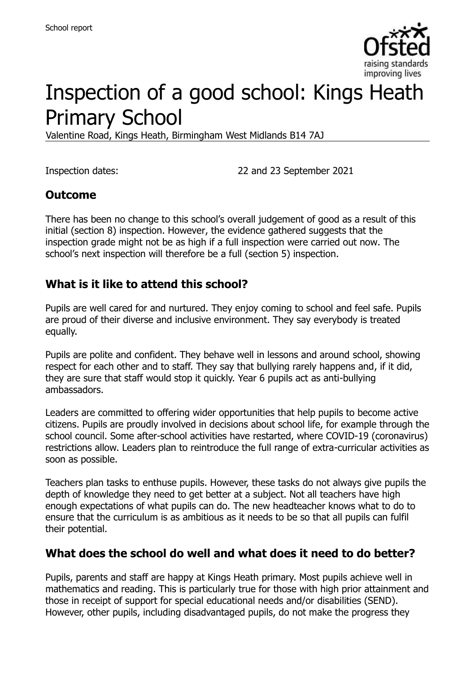

# Inspection of a good school: Kings Heath Primary School

Valentine Road, Kings Heath, Birmingham West Midlands B14 7AJ

Inspection dates: 22 and 23 September 2021

#### **Outcome**

There has been no change to this school's overall judgement of good as a result of this initial (section 8) inspection. However, the evidence gathered suggests that the inspection grade might not be as high if a full inspection were carried out now. The school's next inspection will therefore be a full (section 5) inspection.

#### **What is it like to attend this school?**

Pupils are well cared for and nurtured. They enjoy coming to school and feel safe. Pupils are proud of their diverse and inclusive environment. They say everybody is treated equally.

Pupils are polite and confident. They behave well in lessons and around school, showing respect for each other and to staff. They say that bullying rarely happens and, if it did, they are sure that staff would stop it quickly. Year 6 pupils act as anti-bullying ambassadors.

Leaders are committed to offering wider opportunities that help pupils to become active citizens. Pupils are proudly involved in decisions about school life, for example through the school council. Some after-school activities have restarted, where COVID-19 (coronavirus) restrictions allow. Leaders plan to reintroduce the full range of extra-curricular activities as soon as possible.

Teachers plan tasks to enthuse pupils. However, these tasks do not always give pupils the depth of knowledge they need to get better at a subject. Not all teachers have high enough expectations of what pupils can do. The new headteacher knows what to do to ensure that the curriculum is as ambitious as it needs to be so that all pupils can fulfil their potential.

#### **What does the school do well and what does it need to do better?**

Pupils, parents and staff are happy at Kings Heath primary. Most pupils achieve well in mathematics and reading. This is particularly true for those with high prior attainment and those in receipt of support for special educational needs and/or disabilities (SEND). However, other pupils, including disadvantaged pupils, do not make the progress they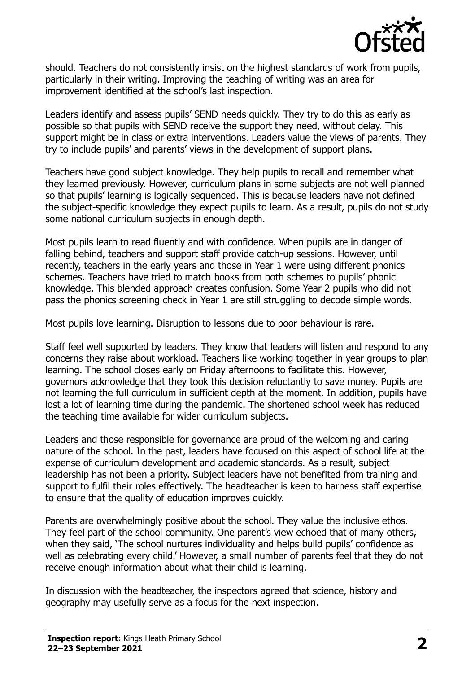

should. Teachers do not consistently insist on the highest standards of work from pupils, particularly in their writing. Improving the teaching of writing was an area for improvement identified at the school's last inspection.

Leaders identify and assess pupils' SEND needs quickly. They try to do this as early as possible so that pupils with SEND receive the support they need, without delay. This support might be in class or extra interventions. Leaders value the views of parents. They try to include pupils' and parents' views in the development of support plans.

Teachers have good subject knowledge. They help pupils to recall and remember what they learned previously. However, curriculum plans in some subjects are not well planned so that pupils' learning is logically sequenced. This is because leaders have not defined the subject-specific knowledge they expect pupils to learn. As a result, pupils do not study some national curriculum subjects in enough depth.

Most pupils learn to read fluently and with confidence. When pupils are in danger of falling behind, teachers and support staff provide catch-up sessions. However, until recently, teachers in the early years and those in Year 1 were using different phonics schemes. Teachers have tried to match books from both schemes to pupils' phonic knowledge. This blended approach creates confusion. Some Year 2 pupils who did not pass the phonics screening check in Year 1 are still struggling to decode simple words.

Most pupils love learning. Disruption to lessons due to poor behaviour is rare.

Staff feel well supported by leaders. They know that leaders will listen and respond to any concerns they raise about workload. Teachers like working together in year groups to plan learning. The school closes early on Friday afternoons to facilitate this. However, governors acknowledge that they took this decision reluctantly to save money. Pupils are not learning the full curriculum in sufficient depth at the moment. In addition, pupils have lost a lot of learning time during the pandemic. The shortened school week has reduced the teaching time available for wider curriculum subjects.

Leaders and those responsible for governance are proud of the welcoming and caring nature of the school. In the past, leaders have focused on this aspect of school life at the expense of curriculum development and academic standards. As a result, subject leadership has not been a priority. Subject leaders have not benefited from training and support to fulfil their roles effectively. The headteacher is keen to harness staff expertise to ensure that the quality of education improves quickly.

Parents are overwhelmingly positive about the school. They value the inclusive ethos. They feel part of the school community. One parent's view echoed that of many others, when they said, 'The school nurtures individuality and helps build pupils' confidence as well as celebrating every child.' However, a small number of parents feel that they do not receive enough information about what their child is learning.

In discussion with the headteacher, the inspectors agreed that science, history and geography may usefully serve as a focus for the next inspection.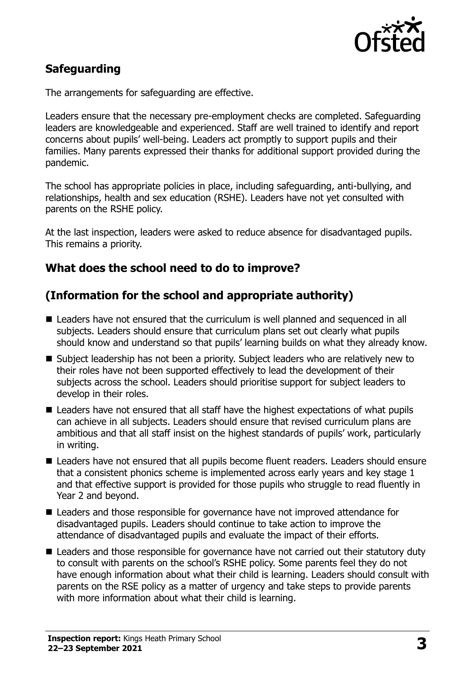

# **Safeguarding**

The arrangements for safeguarding are effective.

Leaders ensure that the necessary pre-employment checks are completed. Safeguarding leaders are knowledgeable and experienced. Staff are well trained to identify and report concerns about pupils' well-being. Leaders act promptly to support pupils and their families. Many parents expressed their thanks for additional support provided during the pandemic.

The school has appropriate policies in place, including safeguarding, anti-bullying, and relationships, health and sex education (RSHE). Leaders have not yet consulted with parents on the RSHE policy.

At the last inspection, leaders were asked to reduce absence for disadvantaged pupils. This remains a priority.

### **What does the school need to do to improve?**

# **(Information for the school and appropriate authority)**

- Leaders have not ensured that the curriculum is well planned and sequenced in all subjects. Leaders should ensure that curriculum plans set out clearly what pupils should know and understand so that pupils' learning builds on what they already know.
- Subject leadership has not been a priority. Subject leaders who are relatively new to their roles have not been supported effectively to lead the development of their subjects across the school. Leaders should prioritise support for subject leaders to develop in their roles.
- Leaders have not ensured that all staff have the highest expectations of what pupils can achieve in all subjects. Leaders should ensure that revised curriculum plans are ambitious and that all staff insist on the highest standards of pupils' work, particularly in writing.
- Leaders have not ensured that all pupils become fluent readers. Leaders should ensure that a consistent phonics scheme is implemented across early years and key stage 1 and that effective support is provided for those pupils who struggle to read fluently in Year 2 and beyond.
- Leaders and those responsible for governance have not improved attendance for disadvantaged pupils. Leaders should continue to take action to improve the attendance of disadvantaged pupils and evaluate the impact of their efforts.
- Leaders and those responsible for governance have not carried out their statutory duty to consult with parents on the school's RSHE policy. Some parents feel they do not have enough information about what their child is learning. Leaders should consult with parents on the RSE policy as a matter of urgency and take steps to provide parents with more information about what their child is learning.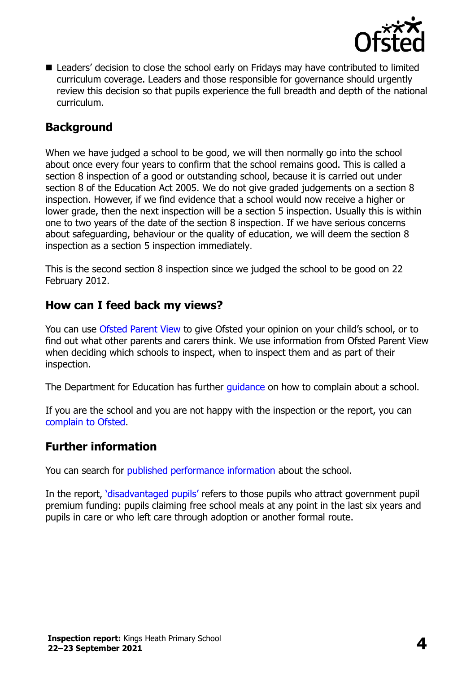

■ Leaders' decision to close the school early on Fridays may have contributed to limited curriculum coverage. Leaders and those responsible for governance should urgently review this decision so that pupils experience the full breadth and depth of the national curriculum.

#### **Background**

When we have judged a school to be good, we will then normally go into the school about once every four years to confirm that the school remains good. This is called a section 8 inspection of a good or outstanding school, because it is carried out under section 8 of the Education Act 2005. We do not give graded judgements on a section 8 inspection. However, if we find evidence that a school would now receive a higher or lower grade, then the next inspection will be a section 5 inspection. Usually this is within one to two years of the date of the section 8 inspection. If we have serious concerns about safeguarding, behaviour or the quality of education, we will deem the section 8 inspection as a section 5 inspection immediately.

This is the second section 8 inspection since we judged the school to be good on 22 February 2012.

#### **How can I feed back my views?**

You can use [Ofsted Parent View](https://parentview.ofsted.gov.uk/) to give Ofsted your opinion on your child's school, or to find out what other parents and carers think. We use information from Ofsted Parent View when deciding which schools to inspect, when to inspect them and as part of their inspection.

The Department for Education has further quidance on how to complain about a school.

If you are the school and you are not happy with the inspection or the report, you can [complain to Ofsted.](https://www.gov.uk/complain-ofsted-report)

#### **Further information**

You can search for [published performance information](http://www.compare-school-performance.service.gov.uk/) about the school.

In the report, '[disadvantaged pupils](http://www.gov.uk/guidance/pupil-premium-information-for-schools-and-alternative-provision-settings)' refers to those pupils who attract government pupil premium funding: pupils claiming free school meals at any point in the last six years and pupils in care or who left care through adoption or another formal route.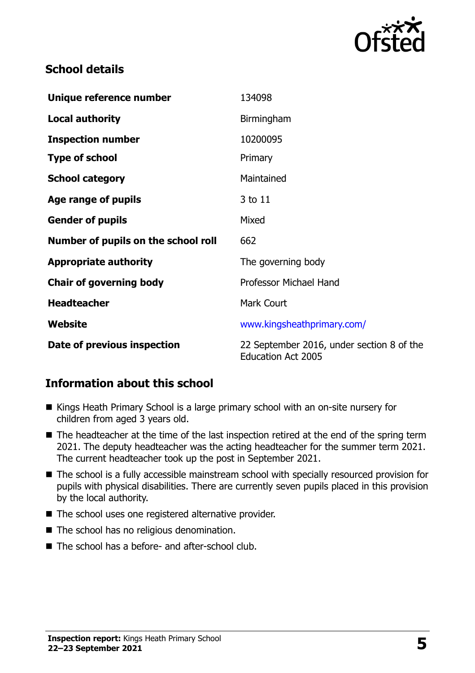

### **School details**

| Unique reference number             | 134098                                                                 |
|-------------------------------------|------------------------------------------------------------------------|
| <b>Local authority</b>              | Birmingham                                                             |
| <b>Inspection number</b>            | 10200095                                                               |
| <b>Type of school</b>               | Primary                                                                |
| <b>School category</b>              | Maintained                                                             |
| Age range of pupils                 | 3 to 11                                                                |
| <b>Gender of pupils</b>             | Mixed                                                                  |
| Number of pupils on the school roll | 662                                                                    |
| <b>Appropriate authority</b>        | The governing body                                                     |
| <b>Chair of governing body</b>      | <b>Professor Michael Hand</b>                                          |
| <b>Headteacher</b>                  | <b>Mark Court</b>                                                      |
| Website                             | www.kingsheathprimary.com/                                             |
| Date of previous inspection         | 22 September 2016, under section 8 of the<br><b>Education Act 2005</b> |

# **Information about this school**

- Kings Heath Primary School is a large primary school with an on-site nursery for children from aged 3 years old.
- The headteacher at the time of the last inspection retired at the end of the spring term 2021. The deputy headteacher was the acting headteacher for the summer term 2021. The current headteacher took up the post in September 2021.
- The school is a fully accessible mainstream school with specially resourced provision for pupils with physical disabilities. There are currently seven pupils placed in this provision by the local authority.
- The school uses one registered alternative provider.
- The school has no religious denomination.
- The school has a before- and after-school club.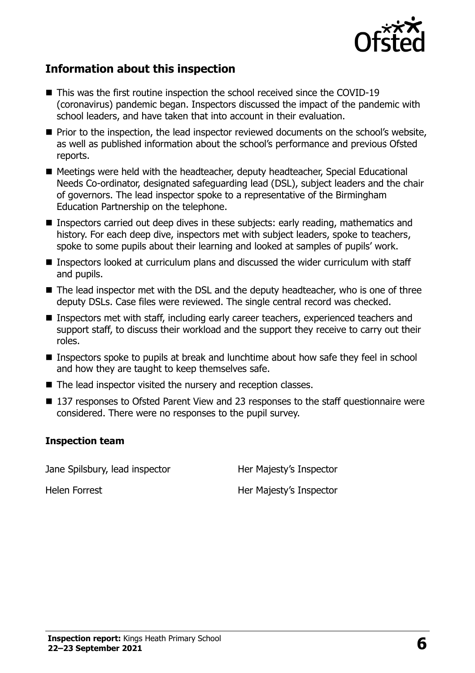

### **Information about this inspection**

- This was the first routine inspection the school received since the COVID-19 (coronavirus) pandemic began. Inspectors discussed the impact of the pandemic with school leaders, and have taken that into account in their evaluation.
- **Prior to the inspection, the lead inspector reviewed documents on the school's website,** as well as published information about the school's performance and previous Ofsted reports.
- Meetings were held with the headteacher, deputy headteacher, Special Educational Needs Co-ordinator, designated safeguarding lead (DSL), subject leaders and the chair of governors. The lead inspector spoke to a representative of the Birmingham Education Partnership on the telephone.
- **Inspectors carried out deep dives in these subjects: early reading, mathematics and** history. For each deep dive, inspectors met with subject leaders, spoke to teachers, spoke to some pupils about their learning and looked at samples of pupils' work.
- Inspectors looked at curriculum plans and discussed the wider curriculum with staff and pupils.
- The lead inspector met with the DSL and the deputy headteacher, who is one of three deputy DSLs. Case files were reviewed. The single central record was checked.
- **Inspectors met with staff, including early career teachers, experienced teachers and** support staff, to discuss their workload and the support they receive to carry out their roles.
- Inspectors spoke to pupils at break and lunchtime about how safe they feel in school and how they are taught to keep themselves safe.
- The lead inspector visited the nursery and reception classes.
- 137 responses to Ofsted Parent View and 23 responses to the staff questionnaire were considered. There were no responses to the pupil survey.

#### **Inspection team**

Jane Spilsbury, lead inspector **Her Majesty's Inspector** 

Helen Forrest Her Majesty's Inspector